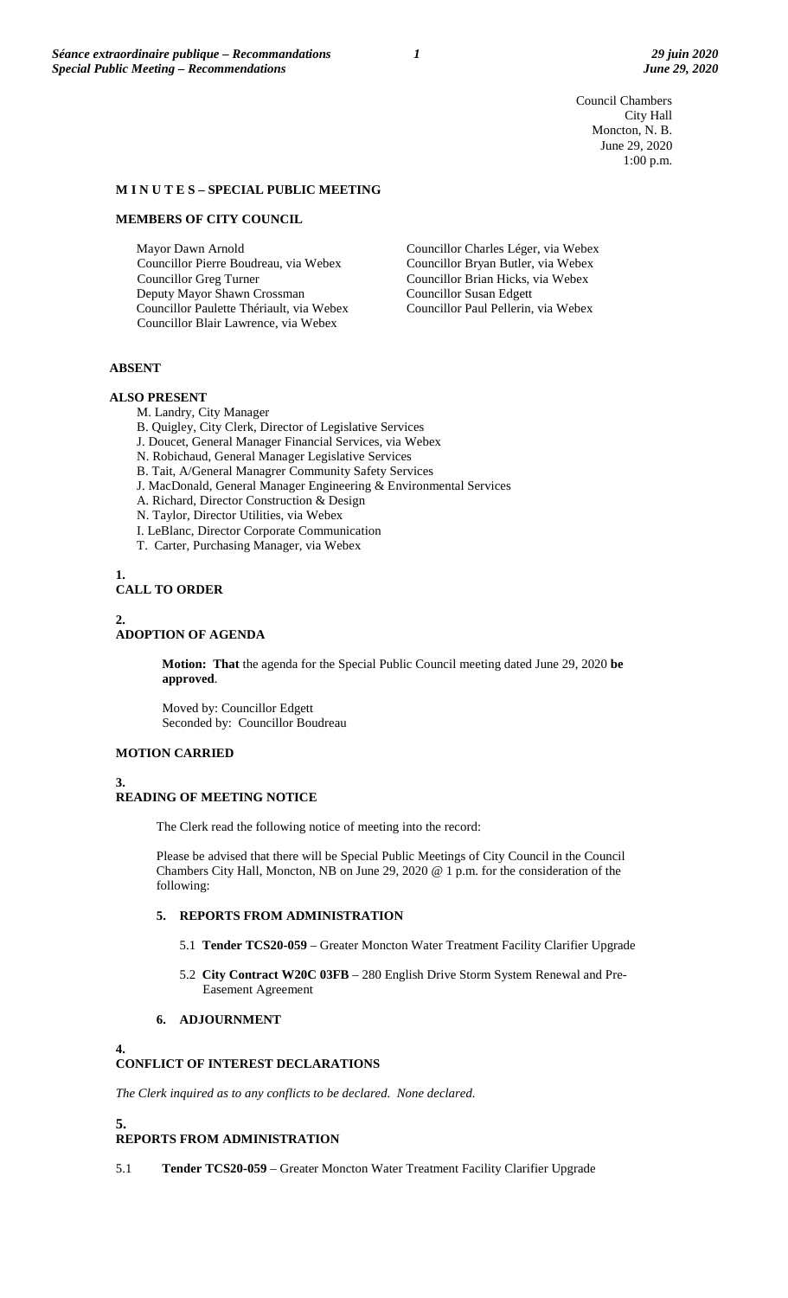Council Chambers City Hall Moncton, N. B. June 29, 2020 1:00 p.m.

### **M I N U T E S – SPECIAL PUBLIC MEETING**

#### **MEMBERS OF CITY COUNCIL**

Mayor Dawn Arnold Councillor Pierre Boudreau, via Webex Councillor Greg Turner Deputy Mayor Shawn Crossman Councillor Paulette Thériault, via Webex Councillor Blair Lawrence, via Webex

Councillor Charles Léger, via Webex Councillor Bryan Butler, via Webex Councillor Brian Hicks, via Webex Councillor Susan Edgett Councillor Paul Pellerin, via Webex

### **ABSENT**

#### **ALSO PRESENT**

M. Landry, City Manager

- B. Quigley, City Clerk, Director of Legislative Services
- J. Doucet, General Manager Financial Services, via Webex
- N. Robichaud, General Manager Legislative Services
- B. Tait, A/General Managrer Community Safety Services
- J. MacDonald, General Manager Engineering & Environmental Services
- A. Richard, Director Construction & Design
- N. Taylor, Director Utilities, via Webex
- I. LeBlanc, Director Corporate Communication
- T. Carter, Purchasing Manager, via Webex

## **1. CALL TO ORDER**

#### **2.**

# **ADOPTION OF AGENDA**

**Motion: That** the agenda for the Special Public Council meeting dated June 29, 2020 **be approved**.

Moved by: Councillor Edgett Seconded by: Councillor Boudreau

### **MOTION CARRIED**

**3.**

### **READING OF MEETING NOTICE**

The Clerk read the following notice of meeting into the record:

Please be advised that there will be Special Public Meetings of City Council in the Council Chambers City Hall, Moncton, NB on June 29, 2020 @ 1 p.m. for the consideration of the following:

## **5. REPORTS FROM ADMINISTRATION**

- 5.1 **Tender TCS20-059** Greater Moncton Water Treatment Facility Clarifier Upgrade
- 5.2 **City Contract W20C 03FB**  280 English Drive Storm System Renewal and Pre-Easement Agreement

## **6. ADJOURNMENT**

#### **4.**

## **CONFLICT OF INTEREST DECLARATIONS**

*The Clerk inquired as to any conflicts to be declared. None declared.*

# **5.**

## **REPORTS FROM ADMINISTRATION**

5.1 **Tender TCS20-059** – Greater Moncton Water Treatment Facility Clarifier Upgrade